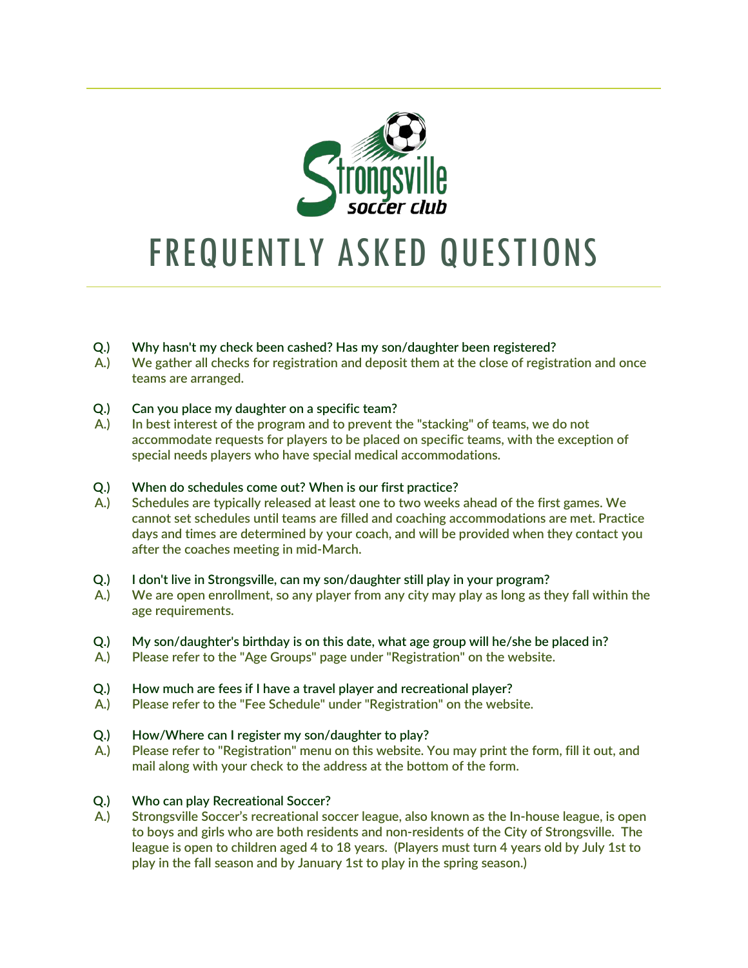

# FREQUENTLY ASKED QUESTIONS

- **Q.) Why hasn't my check been cashed? Has my son/daughter been registered?**
- **A.) We gather all checks for registration and deposit them at the close of registration and once teams are arranged.**
- **Q.) Can you place my daughter on a specific team?**
- **A.) In best interest of the program and to prevent the "stacking" of teams, we do not accommodate requests for players to be placed on specific teams, with the exception of special needs players who have special medical accommodations.**
- **Q.) When do schedules come out? When is our first practice?**
- **A.) Schedules are typically released at least one to two weeks ahead of the first games. We cannot set schedules until teams are filled and coaching accommodations are met. Practice days and times are determined by your coach, and will be provided when they contact you after the coaches meeting in mid-March.**
- **Q.) I don't live in Strongsville, can my son/daughter still play in your program?**
- **A.) We are open enrollment, so any player from any city may play as long as they fall within the age requirements.**
- **Q.) My son/daughter's birthday is on this date, what age group will he/she be placed in?**
- **A.) Please refer to the "Age Groups" page under "Registration" on the website.**
- **Q.) How much are fees if I have a travel player and recreational player?**
- **A.) Please refer to the "Fee Schedule" under "Registration" on the website.**
- **Q.) How/Where can I register my son/daughter to play?**
- **A.) Please refer to "Registration" menu on this website. You may print the form, fill it out, and mail along with your check to the address at the bottom of the form.**
- **Q.) Who can play Recreational Soccer?**
- **A.) Strongsville Soccer's recreational soccer league, also known as the In-house league, is open to boys and girls who are both residents and non-residents of the City of Strongsville. The league is open to children aged 4 to 18 years. (Players must turn 4 years old by July 1st to play in the fall season and by January 1st to play in the spring season.)**